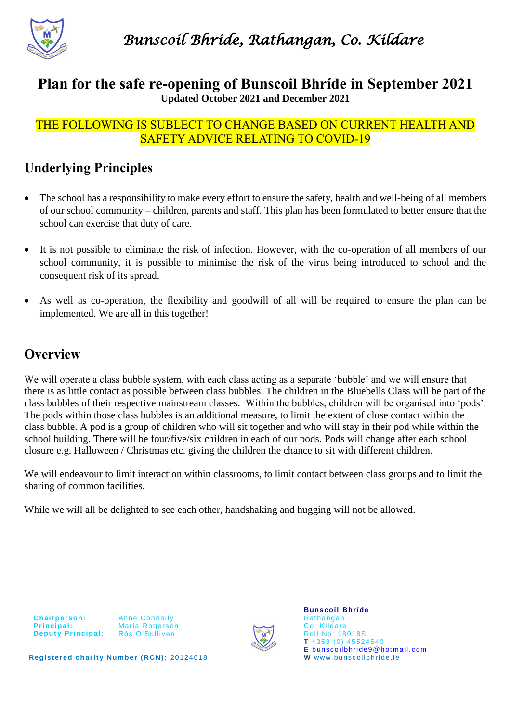

#### **Plan for the safe re-opening of Bunscoil Bhríde in September 2021 Updated October 2021 and December 2021**

#### THE FOLLOWING IS SUBLECT TO CHANGE BASED ON CURRENT HEALTH AND SAFETY ADVICE RELATING TO COVID-19

# **Underlying Principles**

- The school has a responsibility to make every effort to ensure the safety, health and well-being of all members of our school community – children, parents and staff. This plan has been formulated to better ensure that the school can exercise that duty of care.
- It is not possible to eliminate the risk of infection. However, with the co-operation of all members of our school community, it is possible to minimise the risk of the virus being introduced to school and the consequent risk of its spread.
- As well as co-operation, the flexibility and goodwill of all will be required to ensure the plan can be implemented. We are all in this together!

## **Overview**

We will operate a class bubble system, with each class acting as a separate 'bubble' and we will ensure that there is as little contact as possible between class bubbles. The children in the Bluebells Class will be part of the class bubbles of their respective mainstream classes. Within the bubbles, children will be organised into 'pods'. The pods within those class bubbles is an additional measure, to limit the extent of close contact within the class bubble. A pod is a group of children who will sit together and who will stay in their pod while within the school building. There will be four/five/six children in each of our pods. Pods will change after each school closure e.g. Halloween / Christmas etc. giving the children the chance to sit with different children.

We will endeavour to limit interaction within classrooms, to limit contact between class groups and to limit the sharing of common facilities.

While we will all be delighted to see each other, handshaking and hugging will not be allowed.



Anne Connolly Maria Rogers on Rós O'Sullivan



**Bunscoil Bhríde** Rathangan, Co. Kildare Roll No: 18018S **T** +353 (0) 45524540 **E** [bunscoilbhride9@hotmail.com](mailto:bunscoilbhride9@hotmail.com) **W** www. bunscoilbhride.ie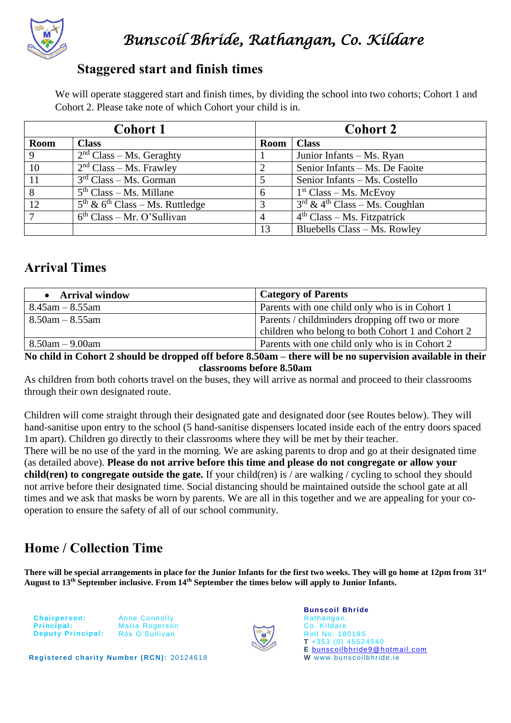

#### **Staggered start and finish times**

We will operate staggered start and finish times, by dividing the school into two cohorts; Cohort 1 and Cohort 2. Please take note of which Cohort your child is in.

| <b>Cohort 1</b> |                                     | <b>Cohort 2</b> |                                              |
|-----------------|-------------------------------------|-----------------|----------------------------------------------|
| <b>Room</b>     | <b>Class</b>                        | <b>Room</b>     | <b>Class</b>                                 |
| 9               | $2nd Class - Ms. Generally$         |                 | Junior Infants – Ms. Ryan                    |
| 10              | $2nd Class - Ms. Frawley$           | 2               | Senior Infants - Ms. De Faoite               |
| 11              | $3rd Class - Ms. Gorman$            | 5               | Senior Infants - Ms. Costello                |
| 8               | $5th Class - Ms. Millane$           | 6               | $1st Class - Ms. McEvoy$                     |
| 12              | $5th$ & $6th$ Class – Ms. Ruttledge | 3               | $3rd$ & 4 <sup>th</sup> Class – Ms. Coughlan |
| ⇁               | $6th Class - Mr. O'Sullivan$        | $\overline{4}$  | $4th Class - Ms. Fitzpatrick$                |
|                 |                                     | 13              | Bluebells Class - Ms. Rowley                 |

## **Arrival Times**

| • Arrival window      | <b>Category of Parents</b>                        |
|-----------------------|---------------------------------------------------|
| $8.45$ am $-8.55$ am  | Parents with one child only who is in Cohort 1    |
| $8.50$ am $-8.55$ am  | Parents / childminders dropping off two or more   |
|                       | children who belong to both Cohort 1 and Cohort 2 |
| $8.50$ am $- 9.00$ am | Parents with one child only who is in Cohort 2    |

**No child in Cohort 2 should be dropped off before 8.50am – there will be no supervision available in their classrooms before 8.50am**

As children from both cohorts travel on the buses, they will arrive as normal and proceed to their classrooms through their own designated route.

Children will come straight through their designated gate and designated door (see Routes below). They will hand-sanitise upon entry to the school (5 hand-sanitise dispensers located inside each of the entry doors spaced 1m apart). Children go directly to their classrooms where they will be met by their teacher.

There will be no use of the yard in the morning. We are asking parents to drop and go at their designated time (as detailed above). **Please do not arrive before this time and please do not congregate or allow your child(ren) to congregate outside the gate.** If your child(ren) is / are walking / cycling to school they should not arrive before their designated time. Social distancing should be maintained outside the school gate at all times and we ask that masks be worn by parents. We are all in this together and we are appealing for your cooperation to ensure the safety of all of our school community.

# **Home / Collection Time**

**There will be special arrangements in place for the Junior Infants for the first two weeks. They will go home at 12pm from 31 st August to 13th September inclusive. From 14th September the times below will apply to Junior Infants.**

|            | <b>Chairperson:</b>      |
|------------|--------------------------|
| Principal: |                          |
|            | <b>Deputy Principal:</b> |

Anne Connolly Maria Rogerson Rós O'Sullivan



**Bunscoil Bhríde** Rathangan, Co. Kildare Roll No: 18018S **T** +353 (0) 45524540 **E** [bunscoilbhride9@hotmail.com](mailto:bunscoilbhride9@hotmail.com) **W** www. bunscoilbhride.ie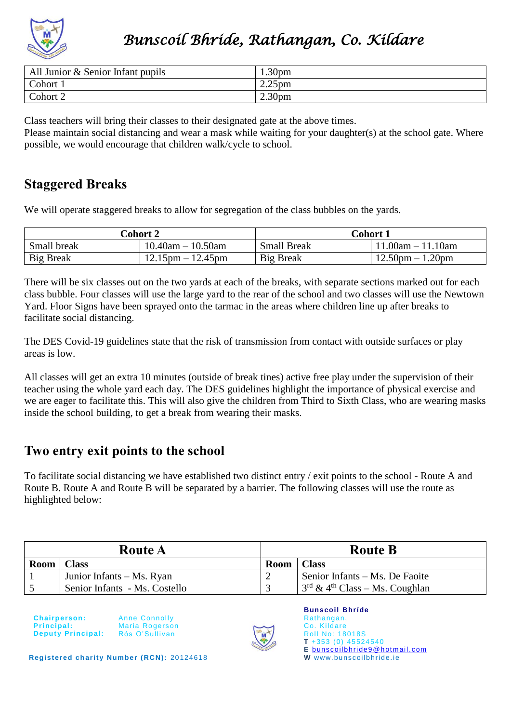

| $\vert$ All Junior & Senior Infant pupils | 1.30 <sub>pm</sub> |
|-------------------------------------------|--------------------|
| Cohort 1                                  | 2.25 <sub>pm</sub> |
| Cohort 2                                  | 2.30 <sub>pm</sub> |

Class teachers will bring their classes to their designated gate at the above times.

Please maintain social distancing and wear a mask while waiting for your daughter(s) at the school gate. Where possible, we would encourage that children walk/cycle to school.

### **Staggered Breaks**

We will operate staggered breaks to allow for segregation of the class bubbles on the yards.

| <b>Cohort 2</b>  |                         | Cohort 1           |                     |  |
|------------------|-------------------------|--------------------|---------------------|--|
| Small break      | $10.40$ am $- 10.50$ am | <b>Small Break</b> | $11.00am - 11.10am$ |  |
| <b>Big Break</b> | $12.15$ pm $-12.45$ pm  | <b>Big Break</b>   | $12.50pm - 1.20pm$  |  |

There will be six classes out on the two yards at each of the breaks, with separate sections marked out for each class bubble. Four classes will use the large yard to the rear of the school and two classes will use the Newtown Yard. Floor Signs have been sprayed onto the tarmac in the areas where children line up after breaks to facilitate social distancing.

The DES Covid-19 guidelines state that the risk of transmission from contact with outside surfaces or play areas is low.

All classes will get an extra 10 minutes (outside of break tines) active free play under the supervision of their teacher using the whole yard each day. The DES guidelines highlight the importance of physical exercise and we are eager to facilitate this. This will also give the children from Third to Sixth Class, who are wearing masks inside the school building, to get a break from wearing their masks.

## **Two entry exit points to the school**

To facilitate social distancing we have established two distinct entry / exit points to the school - Route A and Route B. Route A and Route B will be separated by a barrier. The following classes will use the route as highlighted below:

| <b>Route A</b> |                               | <b>Route B</b> |                                              |
|----------------|-------------------------------|----------------|----------------------------------------------|
| Room   Class   |                               | Room           | <b>Class</b>                                 |
|                | Junior Infants – Ms. Ryan     |                | Senior Infants – Ms. De Faoite               |
|                | Senior Infants - Ms. Costello |                | $3rd$ & 4 <sup>th</sup> Class – Ms. Coughlan |

**Chairperson: Principal: Deputy Principal:** 

Anne Connolly Maria Rogers on Rós O'Sullivan



**Bunscoil Bhríde** Rathangan, Co. Kildare Roll No: 18018S **T** +353 (0) 45524540 **E** [bunscoilbhride9@hotmail.com](mailto:bunscoilbhride9@hotmail.com) **W** www. bunscoilbhride.ie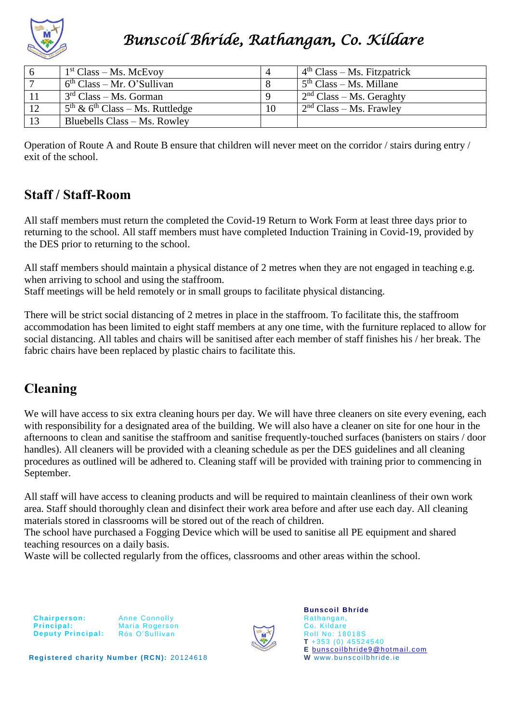

| 6  | $1st Class - Ms. McEvoy$                                |    | $4th Class - Ms. Fitzpatrick$                    |
|----|---------------------------------------------------------|----|--------------------------------------------------|
|    | $6th Class - Mr. O'Sullivan$                            |    | $1.5th Class - Ms. Millane$                      |
|    | $3rd Class - Ms. Gorman$                                |    | $\frac{1}{2}$ <sup>nd</sup> Class – Ms. Geraghty |
| 12 | $5^{\text{th}}$ & 6 <sup>th</sup> Class – Ms. Ruttledge | 10 | $\frac{1}{2}$ Class – Ms. Frawley                |
| 13 | Bluebells Class – Ms. Rowley                            |    |                                                  |

Operation of Route A and Route B ensure that children will never meet on the corridor / stairs during entry / exit of the school.

## **Staff / Staff-Room**

All staff members must return the completed the Covid-19 Return to Work Form at least three days prior to returning to the school. All staff members must have completed Induction Training in Covid-19, provided by the DES prior to returning to the school.

All staff members should maintain a physical distance of 2 metres when they are not engaged in teaching e.g. when arriving to school and using the staffroom.

Staff meetings will be held remotely or in small groups to facilitate physical distancing.

There will be strict social distancing of 2 metres in place in the staffroom. To facilitate this, the staffroom accommodation has been limited to eight staff members at any one time, with the furniture replaced to allow for social distancing. All tables and chairs will be sanitised after each member of staff finishes his / her break. The fabric chairs have been replaced by plastic chairs to facilitate this.

# **Cleaning**

We will have access to six extra cleaning hours per day. We will have three cleaners on site every evening, each with responsibility for a designated area of the building. We will also have a cleaner on site for one hour in the afternoons to clean and sanitise the staffroom and sanitise frequently-touched surfaces (banisters on stairs / door handles). All cleaners will be provided with a cleaning schedule as per the DES guidelines and all cleaning procedures as outlined will be adhered to. Cleaning staff will be provided with training prior to commencing in September.

All staff will have access to cleaning products and will be required to maintain cleanliness of their own work area. Staff should thoroughly clean and disinfect their work area before and after use each day. All cleaning materials stored in classrooms will be stored out of the reach of children.

The school have purchased a Fogging Device which will be used to sanitise all PE equipment and shared teaching resources on a daily basis.

Waste will be collected regularly from the offices, classrooms and other areas within the school.

**Chairperson: Principal: Deputy Principal:**  Anne Connolly Maria Rogerson Rós O'Sullivan



**Bunscoil Bhríde** Rathangan, Co. Kildare Roll No: 18018S **T** +353 (0) 45524540 **E** [bunscoilbhride9@hotmail.com](mailto:bunscoilbhride9@hotmail.com) **W** www. bunscoilbhride.ie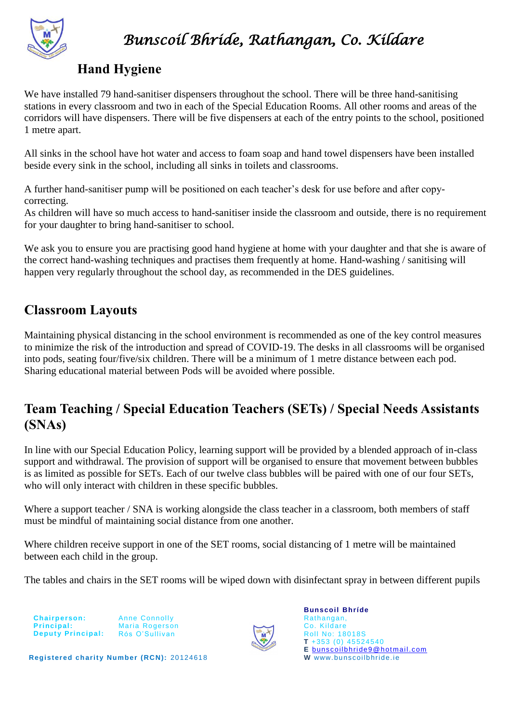

### **Hand Hygiene**

We have installed 79 hand-sanitiser dispensers throughout the school. There will be three hand-sanitising stations in every classroom and two in each of the Special Education Rooms. All other rooms and areas of the corridors will have dispensers. There will be five dispensers at each of the entry points to the school, positioned 1 metre apart.

All sinks in the school have hot water and access to foam soap and hand towel dispensers have been installed beside every sink in the school, including all sinks in toilets and classrooms.

A further hand-sanitiser pump will be positioned on each teacher's desk for use before and after copycorrecting.

As children will have so much access to hand-sanitiser inside the classroom and outside, there is no requirement for your daughter to bring hand-sanitiser to school.

We ask you to ensure you are practising good hand hygiene at home with your daughter and that she is aware of the correct hand-washing techniques and practises them frequently at home. Hand-washing / sanitising will happen very regularly throughout the school day, as recommended in the DES guidelines.

### **Classroom Layouts**

Maintaining physical distancing in the school environment is recommended as one of the key control measures to minimize the risk of the introduction and spread of COVID-19. The desks in all classrooms will be organised into pods, seating four/five/six children. There will be a minimum of 1 metre distance between each pod. Sharing educational material between Pods will be avoided where possible.

# **Team Teaching / Special Education Teachers (SETs) / Special Needs Assistants (SNAs)**

In line with our Special Education Policy, learning support will be provided by a blended approach of in-class support and withdrawal. The provision of support will be organised to ensure that movement between bubbles is as limited as possible for SETs. Each of our twelve class bubbles will be paired with one of our four SETs, who will only interact with children in these specific bubbles.

Where a support teacher / SNA is working alongside the class teacher in a classroom, both members of staff must be mindful of maintaining social distance from one another.

Where children receive support in one of the SET rooms, social distancing of 1 metre will be maintained between each child in the group.

The tables and chairs in the SET rooms will be wiped down with disinfectant spray in between different pupils

**Chairperson: Principal: Deputy Principal:** 

Anne Connolly Maria Rogerson Rós O'Sullivan



**Bunscoil Bhríde** Rathangan, Co. Kildare Roll No: 18018S **T** +353 (0) 45524540 **E** [bunscoilbhride9@hotmail.com](mailto:bunscoilbhride9@hotmail.com) **W** www. bunscoilbhride.ie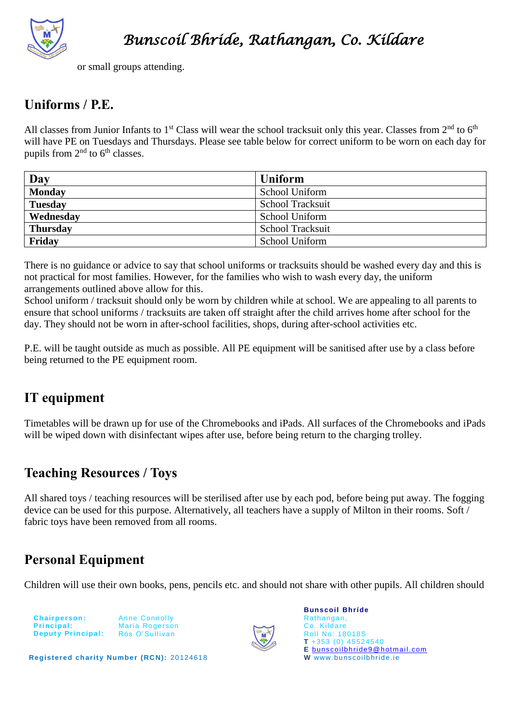

or small groups attending.

## **Uniforms / P.E.**

All classes from Junior Infants to 1<sup>st</sup> Class will wear the school tracksuit only this year. Classes from  $2^{nd}$  to 6<sup>th</sup> will have PE on Tuesdays and Thursdays. Please see table below for correct uniform to be worn on each day for pupils from  $2<sup>nd</sup>$  to  $6<sup>th</sup>$  classes.

| Day             | <b>Uniform</b>          |
|-----------------|-------------------------|
| <b>Monday</b>   | School Uniform          |
| <b>Tuesday</b>  | School Tracksuit        |
| Wednesday       | School Uniform          |
| <b>Thursday</b> | <b>School Tracksuit</b> |
| Friday          | School Uniform          |

There is no guidance or advice to say that school uniforms or tracksuits should be washed every day and this is not practical for most families. However, for the families who wish to wash every day, the uniform arrangements outlined above allow for this.

School uniform / tracksuit should only be worn by children while at school. We are appealing to all parents to ensure that school uniforms / tracksuits are taken off straight after the child arrives home after school for the day. They should not be worn in after-school facilities, shops, during after-school activities etc.

P.E. will be taught outside as much as possible. All PE equipment will be sanitised after use by a class before being returned to the PE equipment room.

# **IT equipment**

Timetables will be drawn up for use of the Chromebooks and iPads. All surfaces of the Chromebooks and iPads will be wiped down with disinfectant wipes after use, before being return to the charging trolley.

## **Teaching Resources / Toys**

All shared toys / teaching resources will be sterilised after use by each pod, before being put away. The fogging device can be used for this purpose. Alternatively, all teachers have a supply of Milton in their rooms. Soft / fabric toys have been removed from all rooms.

# **Personal Equipment**

Children will use their own books, pens, pencils etc. and should not share with other pupils. All children should

| <b>Chairperson:</b>      |
|--------------------------|
| Principal:               |
| <b>Deputy Principal:</b> |

Anne Connolly Maria Rogerson Rós O'Sullivan



**Bunscoil Bhríde** Rathangan, Co. Kildare Roll No: 18018S **T** +353 (0) 45524540 **E** [bunscoilbhride9@hotmail.com](mailto:bunscoilbhride9@hotmail.com) **W** www. bunscoilbhride.ie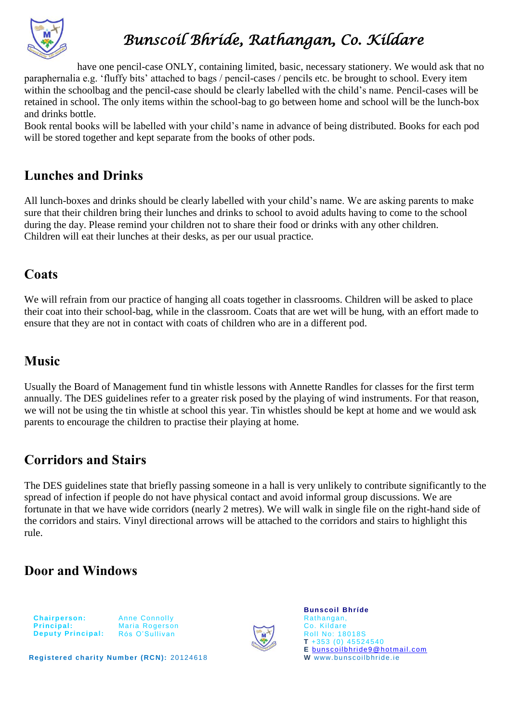

have one pencil-case ONLY, containing limited, basic, necessary stationery. We would ask that no paraphernalia e.g. 'fluffy bits' attached to bags / pencil-cases / pencils etc. be brought to school. Every item within the schoolbag and the pencil-case should be clearly labelled with the child's name. Pencil-cases will be retained in school. The only items within the school-bag to go between home and school will be the lunch-box and drinks bottle.

Book rental books will be labelled with your child's name in advance of being distributed. Books for each pod will be stored together and kept separate from the books of other pods.

## **Lunches and Drinks**

All lunch-boxes and drinks should be clearly labelled with your child's name. We are asking parents to make sure that their children bring their lunches and drinks to school to avoid adults having to come to the school during the day. Please remind your children not to share their food or drinks with any other children. Children will eat their lunches at their desks, as per our usual practice.

#### **Coats**

We will refrain from our practice of hanging all coats together in classrooms. Children will be asked to place their coat into their school-bag, while in the classroom. Coats that are wet will be hung, with an effort made to ensure that they are not in contact with coats of children who are in a different pod.

#### **Music**

Usually the Board of Management fund tin whistle lessons with Annette Randles for classes for the first term annually. The DES guidelines refer to a greater risk posed by the playing of wind instruments. For that reason, we will not be using the tin whistle at school this year. Tin whistles should be kept at home and we would ask parents to encourage the children to practise their playing at home.

# **Corridors and Stairs**

The DES guidelines state that briefly passing someone in a hall is very unlikely to contribute significantly to the spread of infection if people do not have physical contact and avoid informal group discussions. We are fortunate in that we have wide corridors (nearly 2 metres). We will walk in single file on the right-hand side of the corridors and stairs. Vinyl directional arrows will be attached to the corridors and stairs to highlight this rule.

## **Door and Windows**



Anne Connolly Maria Rogerson Rós O'Sullivan



**Bunscoil Bhríde** Rathangan, Co. Kildare Roll No: 18018S **T** +353 (0) 45524540 **E** [bunscoilbhride9@hotmail.com](mailto:bunscoilbhride9@hotmail.com) **W** www. bunscoilbhride.ie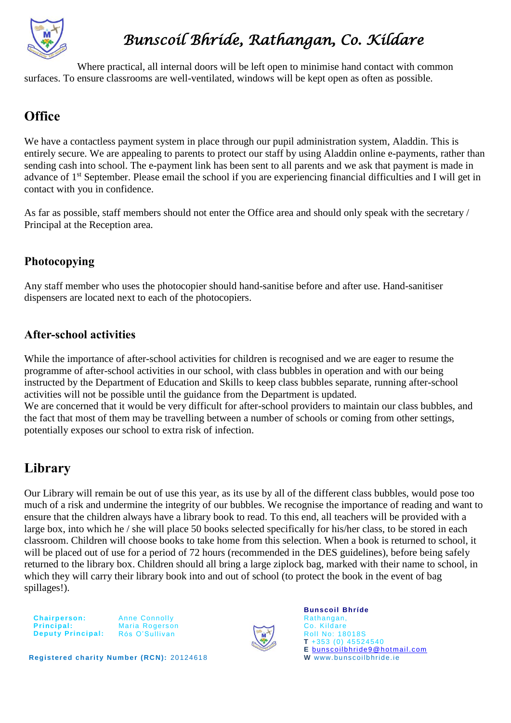

Where practical, all internal doors will be left open to minimise hand contact with common surfaces. To ensure classrooms are well-ventilated, windows will be kept open as often as possible.

# **Office**

We have a contactless payment system in place through our pupil administration system, Aladdin. This is entirely secure. We are appealing to parents to protect our staff by using Aladdin online e-payments, rather than sending cash into school. The e-payment link has been sent to all parents and we ask that payment is made in advance of 1st September. Please email the school if you are experiencing financial difficulties and I will get in contact with you in confidence.

As far as possible, staff members should not enter the Office area and should only speak with the secretary / Principal at the Reception area.

#### **Photocopying**

Any staff member who uses the photocopier should hand-sanitise before and after use. Hand-sanitiser dispensers are located next to each of the photocopiers.

#### **After-school activities**

While the importance of after-school activities for children is recognised and we are eager to resume the programme of after-school activities in our school, with class bubbles in operation and with our being instructed by the Department of Education and Skills to keep class bubbles separate, running after-school activities will not be possible until the guidance from the Department is updated. We are concerned that it would be very difficult for after-school providers to maintain our class bubbles, and the fact that most of them may be travelling between a number of schools or coming from other settings, potentially exposes our school to extra risk of infection.

# **Library**

Our Library will remain be out of use this year, as its use by all of the different class bubbles, would pose too much of a risk and undermine the integrity of our bubbles. We recognise the importance of reading and want to ensure that the children always have a library book to read. To this end, all teachers will be provided with a large box, into which he / she will place 50 books selected specifically for his/her class, to be stored in each classroom. Children will choose books to take home from this selection. When a book is returned to school, it will be placed out of use for a period of 72 hours (recommended in the DES guidelines), before being safely returned to the library box. Children should all bring a large ziplock bag, marked with their name to school, in which they will carry their library book into and out of school (to protect the book in the event of bag spillages!).

**Chairperson: Principal: Deputy Principal:**  Anne Connolly Maria Rogerson Rós O'Sullivan



**Bunscoil Bhríde** Rathangan, Co. Kildare Roll No: 18018S **T** +353 (0) 45524540 **E** [bunscoilbhride9@hotmail.com](mailto:bunscoilbhride9@hotmail.com) **W** www. bunscoilbhride.ie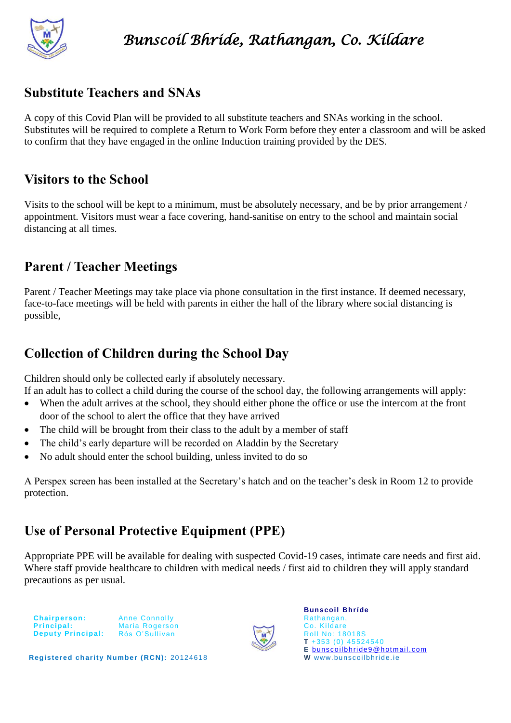

### **Substitute Teachers and SNAs**

A copy of this Covid Plan will be provided to all substitute teachers and SNAs working in the school. Substitutes will be required to complete a Return to Work Form before they enter a classroom and will be asked to confirm that they have engaged in the online Induction training provided by the DES.

## **Visitors to the School**

Visits to the school will be kept to a minimum, must be absolutely necessary, and be by prior arrangement / appointment. Visitors must wear a face covering, hand-sanitise on entry to the school and maintain social distancing at all times.

# **Parent / Teacher Meetings**

Parent / Teacher Meetings may take place via phone consultation in the first instance. If deemed necessary, face-to-face meetings will be held with parents in either the hall of the library where social distancing is possible,

## **Collection of Children during the School Day**

Children should only be collected early if absolutely necessary.

If an adult has to collect a child during the course of the school day, the following arrangements will apply:

- When the adult arrives at the school, they should either phone the office or use the intercom at the front door of the school to alert the office that they have arrived
- The child will be brought from their class to the adult by a member of staff
- The child's early departure will be recorded on Aladdin by the Secretary
- No adult should enter the school building, unless invited to do so

A Perspex screen has been installed at the Secretary's hatch and on the teacher's desk in Room 12 to provide protection.

# **Use of Personal Protective Equipment (PPE)**

Appropriate PPE will be available for dealing with suspected Covid-19 cases, intimate care needs and first aid. Where staff provide healthcare to children with medical needs / first aid to children they will apply standard precautions as per usual.



Anne Connolly Maria Rogerson Rós O'Sullivan



**Bunscoil Bhríde** Rathangan, Co. Kildare Roll No: 18018S **T** +353 (0) 45524540 **E** [bunscoilbhride9@hotmail.com](mailto:bunscoilbhride9@hotmail.com) **W** www. bunscoilbhride.ie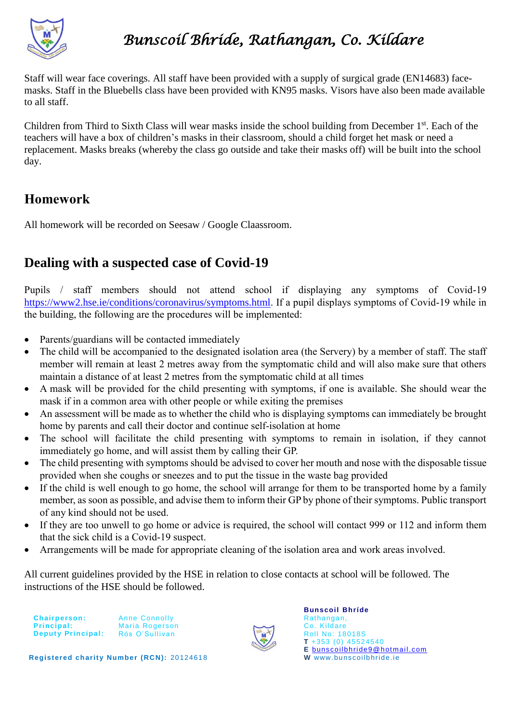

Staff will wear face coverings. All staff have been provided with a supply of surgical grade (EN14683) facemasks. Staff in the Bluebells class have been provided with KN95 masks. Visors have also been made available to all staff.

Children from Third to Sixth Class will wear masks inside the school building from December 1<sup>st</sup>. Each of the teachers will have a box of children's masks in their classroom, should a child forget het mask or need a replacement. Masks breaks (whereby the class go outside and take their masks off) will be built into the school day.

## **Homework**

All homework will be recorded on Seesaw / Google Claassroom.

## **Dealing with a suspected case of Covid-19**

Pupils / staff members should not attend school if displaying any symptoms of Covid-19 [https://www2.hse.ie/conditions/coronavirus/symptoms.html.](https://www2.hse.ie/conditions/coronavirus/symptoms.html) If a pupil displays symptoms of Covid-19 while in the building, the following are the procedures will be implemented:

- Parents/guardians will be contacted immediately
- The child will be accompanied to the designated isolation area (the Servery) by a member of staff. The staff member will remain at least 2 metres away from the symptomatic child and will also make sure that others maintain a distance of at least 2 metres from the symptomatic child at all times
- A mask will be provided for the child presenting with symptoms, if one is available. She should wear the mask if in a common area with other people or while exiting the premises
- An assessment will be made as to whether the child who is displaying symptoms can immediately be brought home by parents and call their doctor and continue self-isolation at home
- The school will facilitate the child presenting with symptoms to remain in isolation, if they cannot immediately go home, and will assist them by calling their GP.
- The child presenting with symptoms should be advised to cover her mouth and nose with the disposable tissue provided when she coughs or sneezes and to put the tissue in the waste bag provided
- If the child is well enough to go home, the school will arrange for them to be transported home by a family member, as soon as possible, and advise them to inform their GP by phone of their symptoms. Public transport of any kind should not be used.
- If they are too unwell to go home or advice is required, the school will contact 999 or 112 and inform them that the sick child is a Covid-19 suspect.
- Arrangements will be made for appropriate cleaning of the isolation area and work areas involved.

All current guidelines provided by the HSE in relation to close contacts at school will be followed. The instructions of the HSE should be followed.

**Chairperson: Principal:** Deputy Principal: Rós O'Sullivan

Anne Connolly Maria Rogerson



**Bunscoil Bhríde** Rathangan, Co. Kildare Roll No: 18018S **T** +353 (0) 45524540 **E** [bunscoilbhride9@hotmail.com](mailto:bunscoilbhride9@hotmail.com) **W** www. bunscoilbhride.ie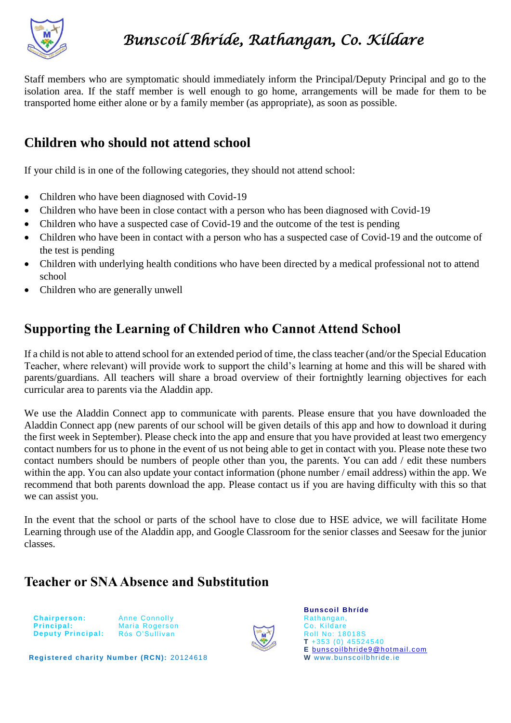

Staff members who are symptomatic should immediately inform the Principal/Deputy Principal and go to the isolation area. If the staff member is well enough to go home, arrangements will be made for them to be transported home either alone or by a family member (as appropriate), as soon as possible.

### **Children who should not attend school**

If your child is in one of the following categories, they should not attend school:

- Children who have been diagnosed with Covid-19
- Children who have been in close contact with a person who has been diagnosed with Covid-19
- Children who have a suspected case of Covid-19 and the outcome of the test is pending
- Children who have been in contact with a person who has a suspected case of Covid-19 and the outcome of the test is pending
- Children with underlying health conditions who have been directed by a medical professional not to attend school
- Children who are generally unwell

### **Supporting the Learning of Children who Cannot Attend School**

If a child is not able to attend school for an extended period of time, the class teacher (and/or the Special Education Teacher, where relevant) will provide work to support the child's learning at home and this will be shared with parents/guardians. All teachers will share a broad overview of their fortnightly learning objectives for each curricular area to parents via the Aladdin app.

We use the Aladdin Connect app to communicate with parents. Please ensure that you have downloaded the Aladdin Connect app (new parents of our school will be given details of this app and how to download it during the first week in September). Please check into the app and ensure that you have provided at least two emergency contact numbers for us to phone in the event of us not being able to get in contact with you. Please note these two contact numbers should be numbers of people other than you, the parents. You can add / edit these numbers within the app. You can also update your contact information (phone number / email address) within the app. We recommend that both parents download the app. Please contact us if you are having difficulty with this so that we can assist you.

In the event that the school or parts of the school have to close due to HSE advice, we will facilitate Home Learning through use of the Aladdin app, and Google Classroom for the senior classes and Seesaw for the junior classes.

#### **Teacher or SNA Absence and Substitution**

**Chairperson: Principal: Deputy Principal:**  Anne Connolly Maria Rogerson Rós O'Sullivan



**Bunscoil Bhríde** Rathangan, Co. Kildare Roll No: 18018S **T** +353 (0) 45524540 **E** [bunscoilbhride9@hotmail.com](mailto:bunscoilbhride9@hotmail.com) **W** www. bunscoilbhride.ie